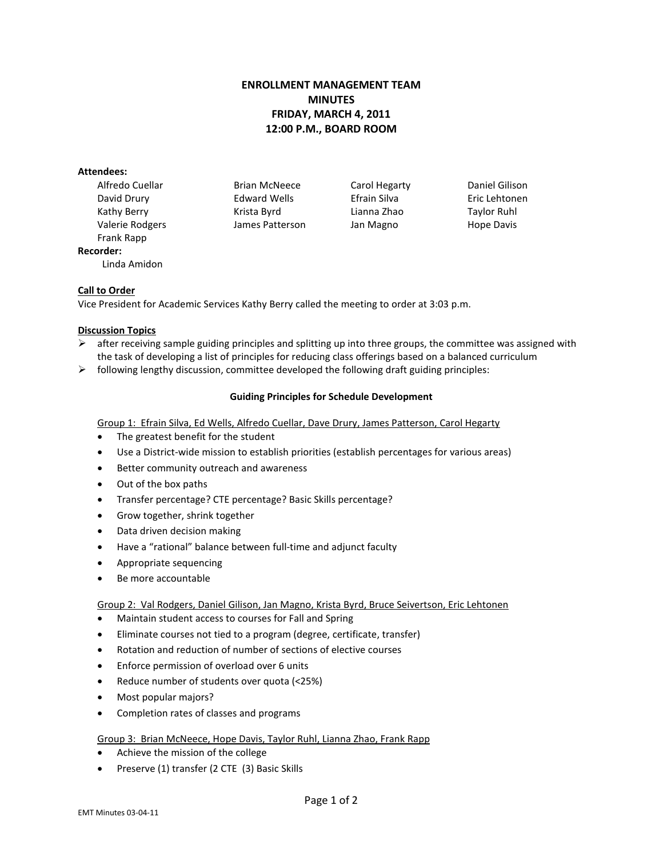# **ENROLLMENT MANAGEMENT TEAM MINUTES FRIDAY, MARCH 4, 2011 12:00 P.M., BOARD ROOM**

#### **Attendees:**

Frank Rapp **Recorder:** Linda Amidon

Alfredo Cuellar **Brian McNeece** Carol Hegarty **Daniel Gilison** David Drury Edward Wells Efrain Silva Eric Lehtonen Kathy Berry **Krista Byrd** Lianna Zhao Taylor Ruhl Valerie Rodgers James Patterson Jan Magno Hope Davis

# **Call to Order**

Vice President for Academic Services Kathy Berry called the meeting to order at 3:03 p.m.

# **Discussion Topics**

- $\triangleright$  after receiving sample guiding principles and splitting up into three groups, the committee was assigned with the task of developing a list of principles for reducing class offerings based on a balanced curriculum
- $\triangleright$  following lengthy discussion, committee developed the following draft guiding principles:

# **Guiding Principles for Schedule Development**

# Group 1: Efrain Silva, Ed Wells, Alfredo Cuellar, Dave Drury, James Patterson, Carol Hegarty

- The greatest benefit for the student
- Use a District-wide mission to establish priorities (establish percentages for various areas)
- Better community outreach and awareness
- Out of the box paths
- Transfer percentage? CTE percentage? Basic Skills percentage?
- Grow together, shrink together
- Data driven decision making
- Have a "rational" balance between full-time and adjunct faculty
- Appropriate sequencing
- Be more accountable

# Group 2: Val Rodgers, Daniel Gilison, Jan Magno, Krista Byrd, Bruce Seivertson, Eric Lehtonen

- Maintain student access to courses for Fall and Spring
- Eliminate courses not tied to a program (degree, certificate, transfer)
- Rotation and reduction of number of sections of elective courses
- Enforce permission of overload over 6 units
- Reduce number of students over quota (<25%)
- Most popular majors?
- Completion rates of classes and programs

# Group 3: Brian McNeece, Hope Davis, Taylor Ruhl, Lianna Zhao, Frank Rapp

- Achieve the mission of the college
- Preserve (1) transfer (2 CTE (3) Basic Skills